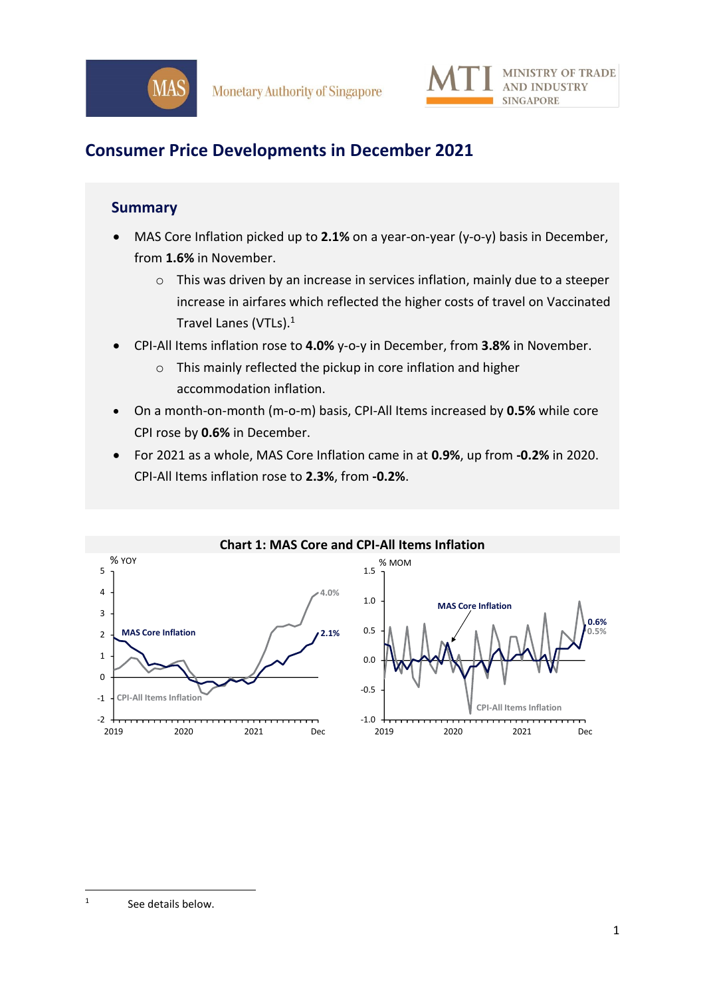

# **Consumer Price Developments in December 2021**

### **Summary**

- MAS Core Inflation picked up to **2.1%** on a year-on-year (y-o-y) basis in December, from **1.6%** in November.
	- o This was driven by an increase in services inflation, mainly due to a steeper increase in airfares which reflected the higher costs of travel on Vaccinated Travel Lanes (VTLs). 1
- CPI-All Items inflation rose to **4.0%** y-o-y in December, from **3.8%** in November.
	- o This mainly reflected the pickup in core inflation and higher accommodation inflation.
- On a month-on-month (m-o-m) basis, CPI-All Items increased by **0.5%** while core CPI rose by **0.6%** in December.
- For 2021 as a whole, MAS Core Inflation came in at **0.9%**, up from **-0.2%** in 2020. CPI-All Items inflation rose to **2.3%**, from **-0.2%**.



1 See details below.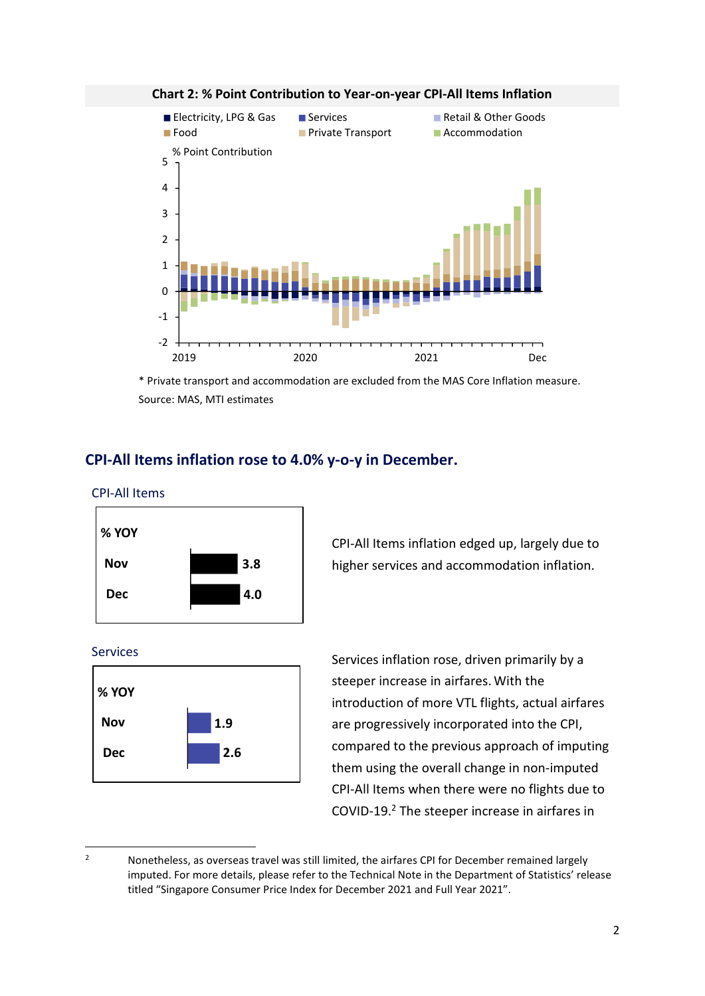

#### **Chart 2: % Point Contribution to Year-on-year CPI-All Items Inflation**

\* Private transport and accommodation are excluded from the MAS Core Inflation measure. Source: MAS, MTI estimates

### **CPI-All Items inflation rose to 4.0% y-o-y in December.**







CPI-All Items inflation edged up, largely due to higher services and accommodation inflation.

Services Services Services inflation rose, driven primarily by a steeper increase in airfares.With the introduction of more VTL flights, actual airfares are progressively incorporated into the CPI, compared to the previous approach of imputing them using the overall change in non-imputed CPI-All Items when there were no flights due to COVID-19. <sup>2</sup> The steeper increase in airfares in

<sup>&</sup>lt;sup>2</sup> Nonetheless, as overseas travel was still limited, the airfares CPI for December remained largely imputed. For more details, please refer to the Technical Note in the Department of Statistics' release titled "Singapore Consumer Price Index for December 2021 and Full Year 2021".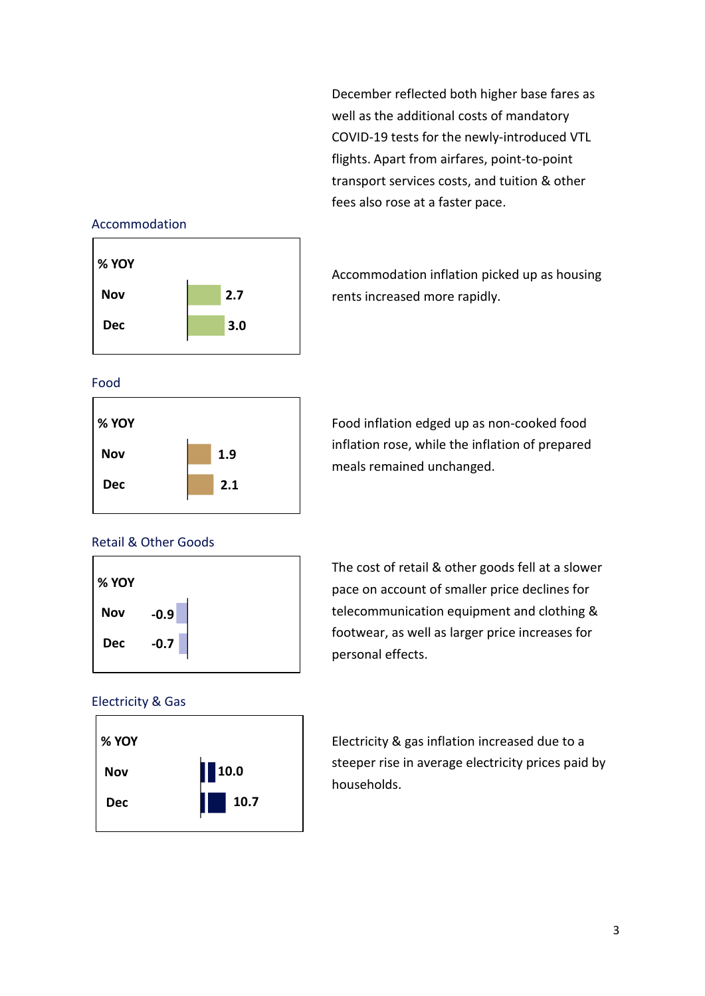December reflected both higher base fares as well as the additional costs of mandatory COVID-19 tests for the newly-introduced VTL flights. Apart from airfares, point-to-point transport services costs, and tuition & other fees also rose at a faster pace.

#### Accommodation



Accommodation inflation picked up as housing rents increased more rapidly.

#### Food



Food inflation edged up as non-cooked food inflation rose, while the inflation of prepared meals remained unchanged.

### Retail & Other Goods



The cost of retail & other goods fell at a slower pace on account of smaller price declines for telecommunication equipment and clothing & footwear, as well as larger price increases for personal effects.

#### Electricity & Gas



Electricity & gas inflation increased due to a steeper rise in average electricity prices paid by households.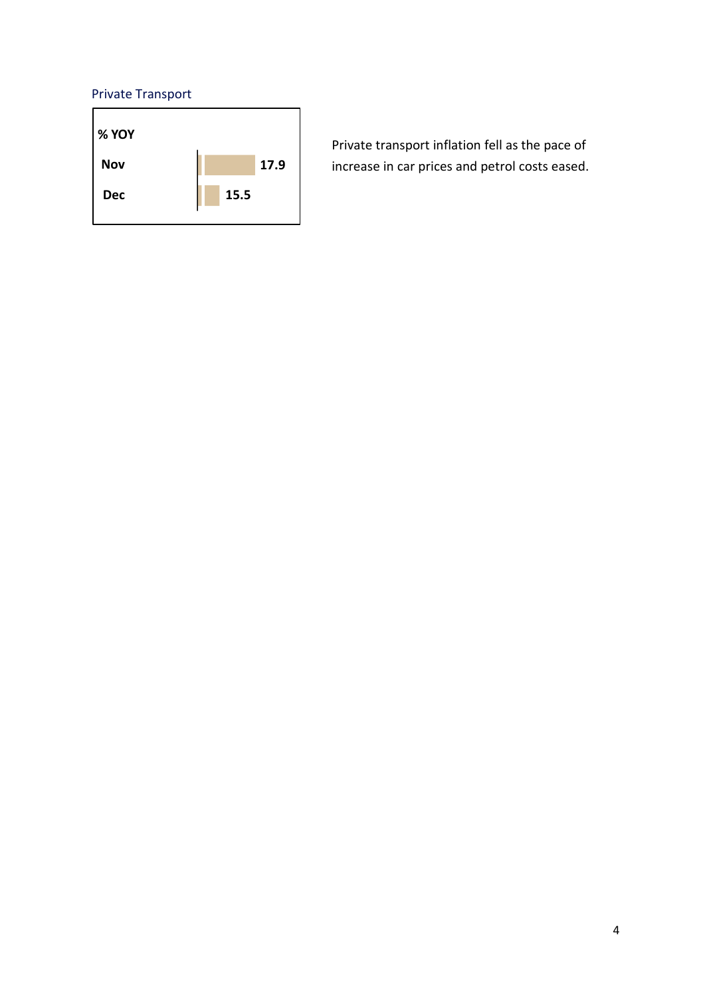### Private Transport



Private transport inflation fell as the pace of increase in car prices and petrol costs eased.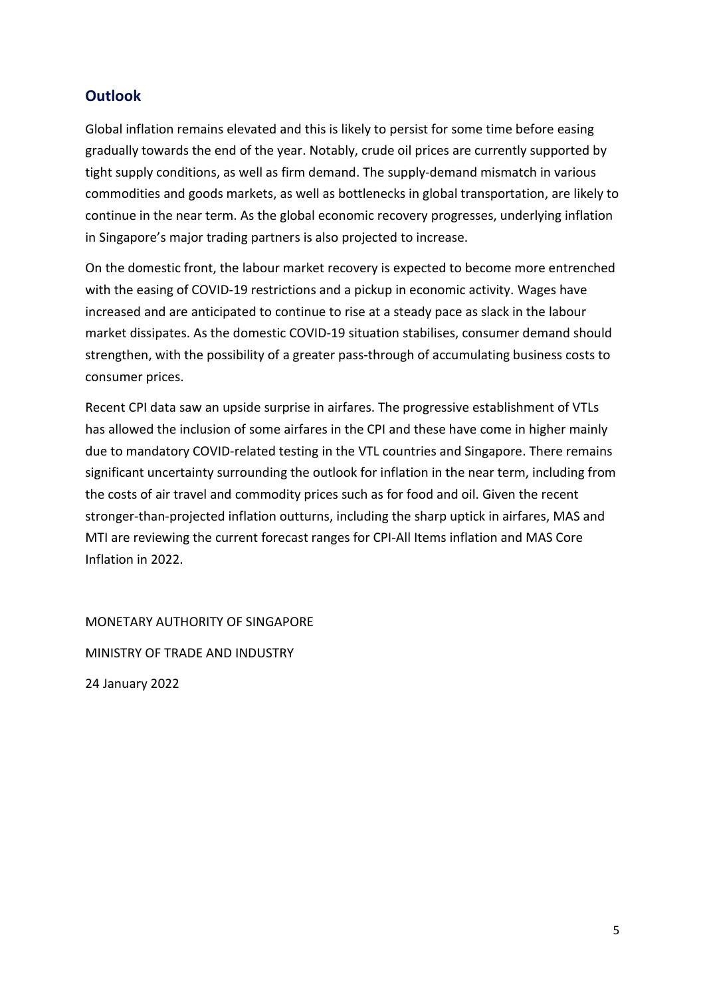### **Outlook**

Global inflation remains elevated and this is likely to persist for some time before easing gradually towards the end of the year. Notably, crude oil prices are currently supported by tight supply conditions, as well as firm demand. The supply-demand mismatch in various commodities and goods markets, as well as bottlenecks in global transportation, are likely to continue in the near term. As the global economic recovery progresses, underlying inflation in Singapore's major trading partners is also projected to increase.

On the domestic front, the labour market recovery is expected to become more entrenched with the easing of COVID-19 restrictions and a pickup in economic activity. Wages have increased and are anticipated to continue to rise at a steady pace as slack in the labour market dissipates. As the domestic COVID-19 situation stabilises, consumer demand should strengthen, with the possibility of a greater pass-through of accumulating business costs to consumer prices.

Recent CPI data saw an upside surprise in airfares. The progressive establishment of VTLs has allowed the inclusion of some airfares in the CPI and these have come in higher mainly due to mandatory COVID-related testing in the VTL countries and Singapore. There remains significant uncertainty surrounding the outlook for inflation in the near term, including from the costs of air travel and commodity prices such as for food and oil. Given the recent stronger-than-projected inflation outturns, including the sharp uptick in airfares, MAS and MTI are reviewing the current forecast ranges for CPI-All Items inflation and MAS Core Inflation in 2022.

MONETARY AUTHORITY OF SINGAPORE MINISTRY OF TRADE AND INDUSTRY 24 January 2022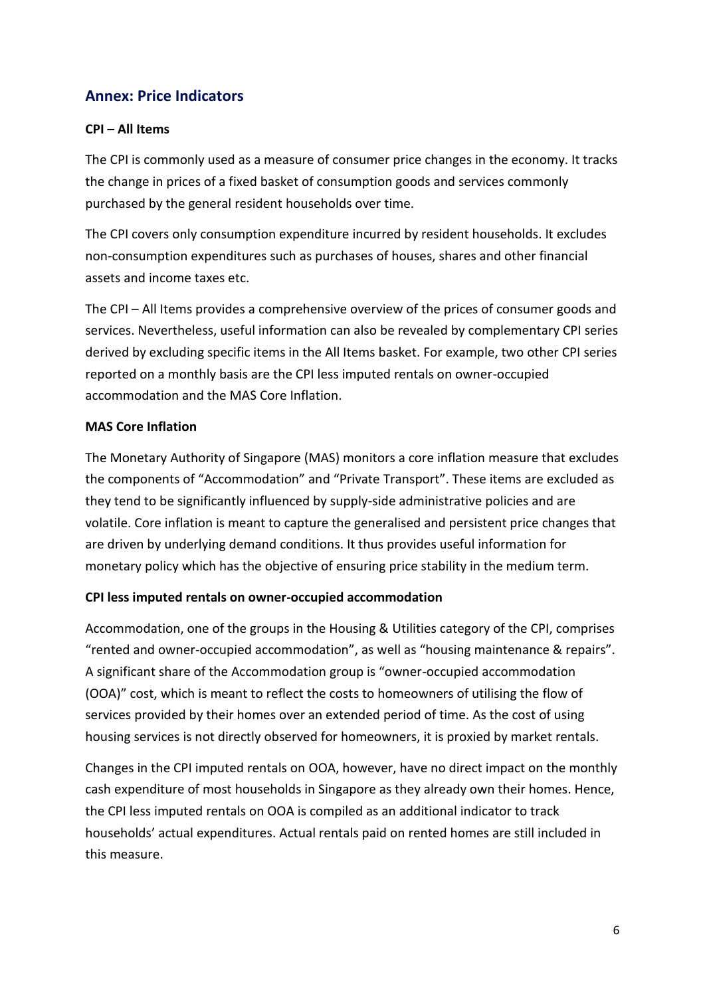### **Annex: Price Indicators**

### **CPI – All Items**

The CPI is commonly used as a measure of consumer price changes in the economy. It tracks the change in prices of a fixed basket of consumption goods and services commonly purchased by the general resident households over time.

The CPI covers only consumption expenditure incurred by resident households. It excludes non-consumption expenditures such as purchases of houses, shares and other financial assets and income taxes etc.

The CPI – All Items provides a comprehensive overview of the prices of consumer goods and services. Nevertheless, useful information can also be revealed by complementary CPI series derived by excluding specific items in the All Items basket. For example, two other CPI series reported on a monthly basis are the CPI less imputed rentals on owner-occupied accommodation and the MAS Core Inflation.

#### **MAS Core Inflation**

The Monetary Authority of Singapore (MAS) monitors a core inflation measure that excludes the components of "Accommodation" and "Private Transport". These items are excluded as they tend to be significantly influenced by supply-side administrative policies and are volatile. Core inflation is meant to capture the generalised and persistent price changes that are driven by underlying demand conditions. It thus provides useful information for monetary policy which has the objective of ensuring price stability in the medium term.

### **CPI less imputed rentals on owner-occupied accommodation**

Accommodation, one of the groups in the Housing & Utilities category of the CPI, comprises "rented and owner-occupied accommodation", as well as "housing maintenance & repairs". A significant share of the Accommodation group is "owner-occupied accommodation (OOA)" cost, which is meant to reflect the costs to homeowners of utilising the flow of services provided by their homes over an extended period of time. As the cost of using housing services is not directly observed for homeowners, it is proxied by market rentals.

Changes in the CPI imputed rentals on OOA, however, have no direct impact on the monthly cash expenditure of most households in Singapore as they already own their homes. Hence, the CPI less imputed rentals on OOA is compiled as an additional indicator to track households' actual expenditures. Actual rentals paid on rented homes are still included in this measure.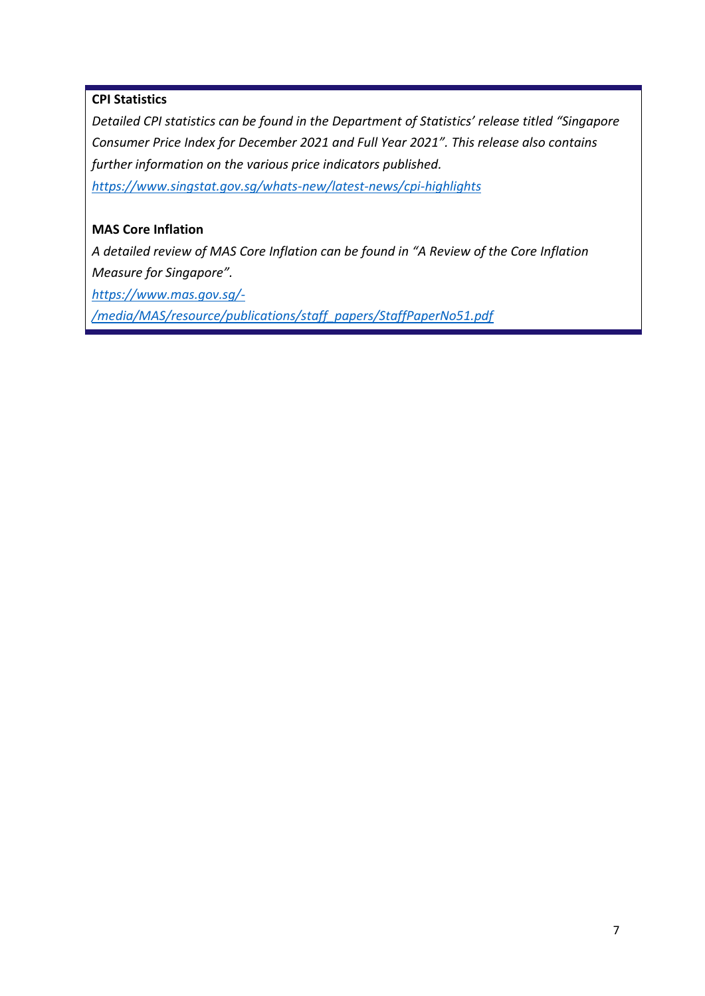### **CPI Statistics**

*Detailed CPI statistics can be found in the Department of Statistics' release titled "Singapore Consumer Price Index for December 2021 and Full Year 2021". This release also contains further information on the various price indicators published. <https://www.singstat.gov.sg/whats-new/latest-news/cpi-highlights>*

### **MAS Core Inflation**

*A detailed review of MAS Core Inflation can be found in "A Review of the Core Inflation Measure for Singapore".*

*[https://www.mas.gov.sg/-](https://www.mas.gov.sg/-/media/MAS/resource/publications/staff_papers/StaffPaperNo51.pdf)*

*[/media/MAS/resource/publications/staff\\_papers/StaffPaperNo51.pdf](https://www.mas.gov.sg/-/media/MAS/resource/publications/staff_papers/StaffPaperNo51.pdf)*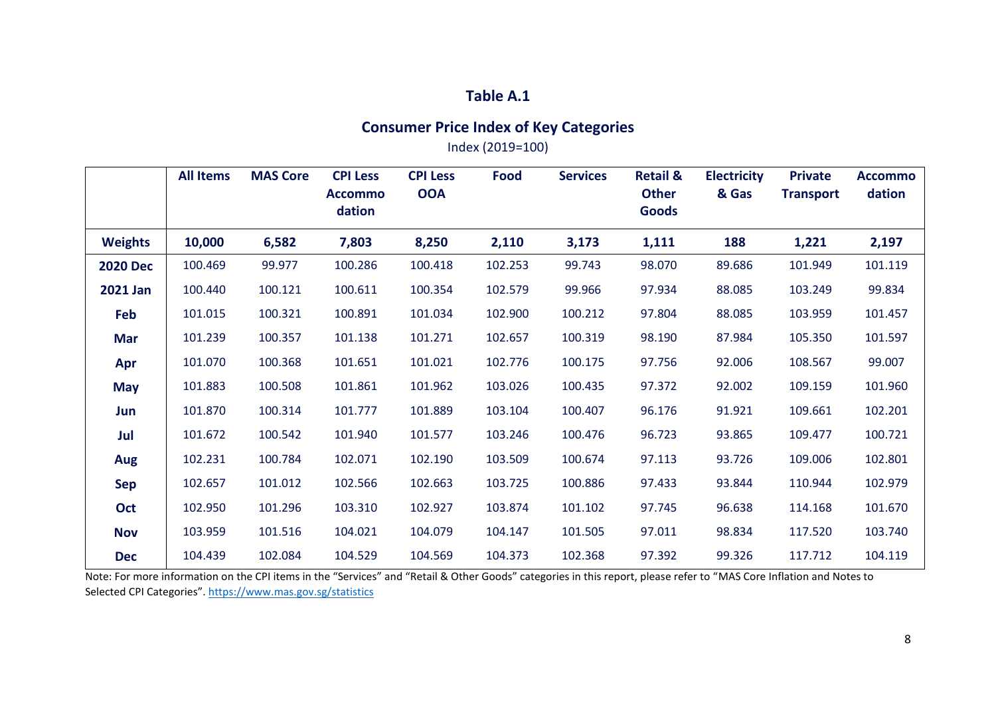### **Table A.1**

# **Consumer Price Index of Key Categories**

Index (2019=100)

|                 | <b>All Items</b> | <b>MAS Core</b> | <b>CPI Less</b><br><b>Accommo</b><br>dation | <b>CPI Less</b><br><b>OOA</b> | Food    | <b>Services</b> | <b>Retail &amp;</b><br><b>Other</b><br><b>Goods</b> | <b>Electricity</b><br>& Gas | <b>Private</b><br><b>Transport</b> | <b>Accommo</b><br>dation |
|-----------------|------------------|-----------------|---------------------------------------------|-------------------------------|---------|-----------------|-----------------------------------------------------|-----------------------------|------------------------------------|--------------------------|
| <b>Weights</b>  | 10,000           | 6,582           | 7,803                                       | 8,250                         | 2,110   | 3,173           | 1,111                                               | 188                         | 1,221                              | 2,197                    |
| <b>2020 Dec</b> | 100.469          | 99.977          | 100.286                                     | 100.418                       | 102.253 | 99.743          | 98.070                                              | 89.686                      | 101.949                            | 101.119                  |
| <b>2021 Jan</b> | 100.440          | 100.121         | 100.611                                     | 100.354                       | 102.579 | 99.966          | 97.934                                              | 88.085                      | 103.249                            | 99.834                   |
| Feb             | 101.015          | 100.321         | 100.891                                     | 101.034                       | 102.900 | 100.212         | 97.804                                              | 88.085                      | 103.959                            | 101.457                  |
| Mar             | 101.239          | 100.357         | 101.138                                     | 101.271                       | 102.657 | 100.319         | 98.190                                              | 87.984                      | 105.350                            | 101.597                  |
| Apr             | 101.070          | 100.368         | 101.651                                     | 101.021                       | 102.776 | 100.175         | 97.756                                              | 92.006                      | 108.567                            | 99.007                   |
| <b>May</b>      | 101.883          | 100.508         | 101.861                                     | 101.962                       | 103.026 | 100.435         | 97.372                                              | 92.002                      | 109.159                            | 101.960                  |
| Jun             | 101.870          | 100.314         | 101.777                                     | 101.889                       | 103.104 | 100.407         | 96.176                                              | 91.921                      | 109.661                            | 102.201                  |
| Jul             | 101.672          | 100.542         | 101.940                                     | 101.577                       | 103.246 | 100.476         | 96.723                                              | 93.865                      | 109.477                            | 100.721                  |
| Aug             | 102.231          | 100.784         | 102.071                                     | 102.190                       | 103.509 | 100.674         | 97.113                                              | 93.726                      | 109.006                            | 102.801                  |
| <b>Sep</b>      | 102.657          | 101.012         | 102.566                                     | 102.663                       | 103.725 | 100.886         | 97.433                                              | 93.844                      | 110.944                            | 102.979                  |
| Oct             | 102.950          | 101.296         | 103.310                                     | 102.927                       | 103.874 | 101.102         | 97.745                                              | 96.638                      | 114.168                            | 101.670                  |
| <b>Nov</b>      | 103.959          | 101.516         | 104.021                                     | 104.079                       | 104.147 | 101.505         | 97.011                                              | 98.834                      | 117.520                            | 103.740                  |
| <b>Dec</b>      | 104.439          | 102.084         | 104.529                                     | 104.569                       | 104.373 | 102.368         | 97.392                                              | 99.326                      | 117.712                            | 104.119                  |

Note: For more information on the CPI items in the "Services" and "Retail & Other Goods" categories in this report, please refer to "MAS Core Inflation and Notes to Selected CPI Categories".<https://www.mas.gov.sg/statistics>